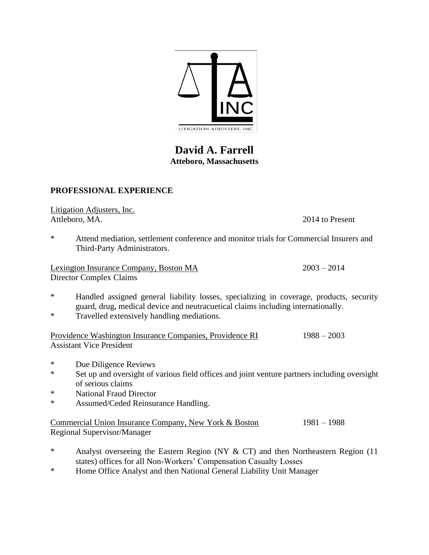

## **David A. Farrell Atteboro, Massachusetts**

## **PROFESSIONAL EXPERIENCE**

Litigation Adjusters, Inc. Attleboro, MA. 2014 to Present

\* Attend mediation, settlement conference and monitor trials for Commercial Insurers and Third-Party Administrators.

Lexington Insurance Company, Boston MA 2003 – 2014 Director Complex Claims

- \* Handled assigned general liability losses, specializing in coverage, products, security guard, drug, medical device and neutracuetical claims including internationally.
- \* Travelled extensively handling mediations.

Providence Washington Insurance Companies, Providence RI 1988 – 2003 Assistant Vice President

- \* Due Diligence Reviews
- \* Set up and oversight of various field offices and joint venture partners including oversight of serious claims
- \* National Fraud Director
- \* Assumed/Ceded Reinsurance Handling.

Commercial Union Insurance Company, New York & Boston 1981 – 1988 Regional Supervisor/Manager

- \* Analyst overseeing the Eastern Region (NY & CT) and then Northeastern Region (11 states) offices for all Non-Workers' Compensation Casualty Losses
- \* Home Office Analyst and then National General Liability Unit Manager